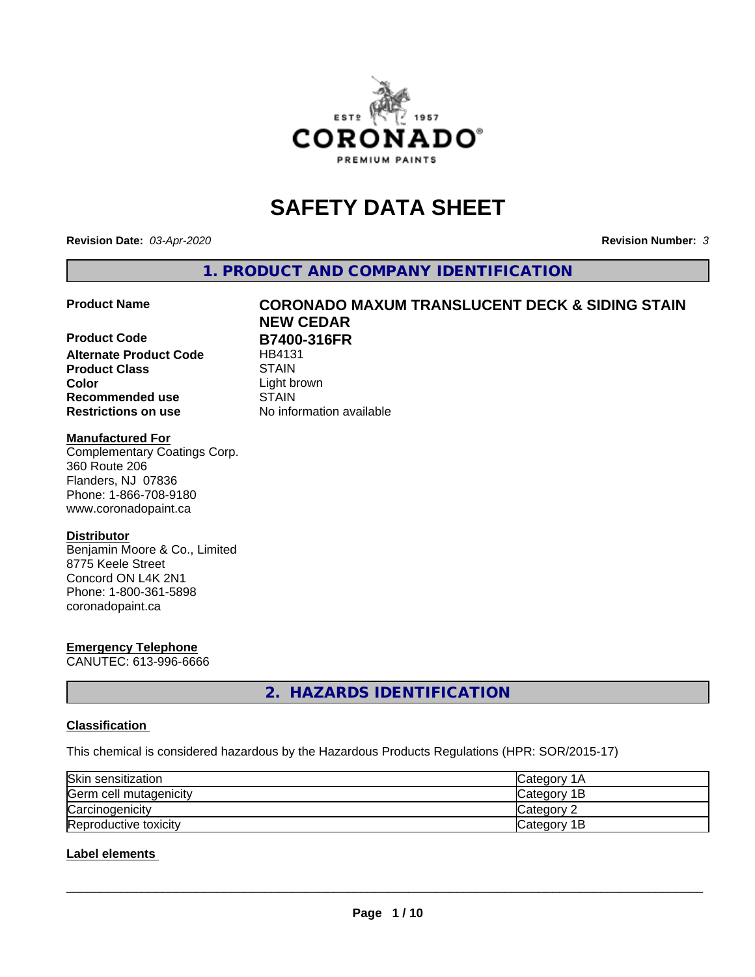

# **SAFETY DATA SHEET**

**Revision Date:** *03-Apr-2020* **Revision Number:** *3*

**1. PRODUCT AND COMPANY IDENTIFICATION**

#### **Product Name CORONADO MAXUM TRANSLUCENT DECK & SIDING STAIN**

# **Product Code B7400-316FR Alternate Product Code** HB4131 **Product Class** STAIN<br> **Color** Light b

# **Recommended use STAIN Restrictions on use** No information available

# Light brown

**NEW CEDAR**

#### **Manufactured For**

Complementary Coatings Corp. 360 Route 206 Flanders, NJ 07836 Phone: 1-866-708-9180 www.coronadopaint.ca

#### **Distributor**

Benjamin Moore & Co., Limited 8775 Keele Street Concord ON L4K 2N1 Phone: 1-800-361-5898 coronadopaint.ca

# **Emergency Telephone**

CANUTEC: 613-996-6666

**2. HAZARDS IDENTIFICATION**

#### **Classification**

This chemical is considered hazardous by the Hazardous Products Regulations (HPR: SOR/2015-17)

| Skin sensitization     | <b>Category 1A</b> |
|------------------------|--------------------|
| Germ cell mutagenicity | Category 1B        |
| Carcinogenicity        | Category 2         |
| Reproductive toxicity  | Category 1B        |

#### **Label elements**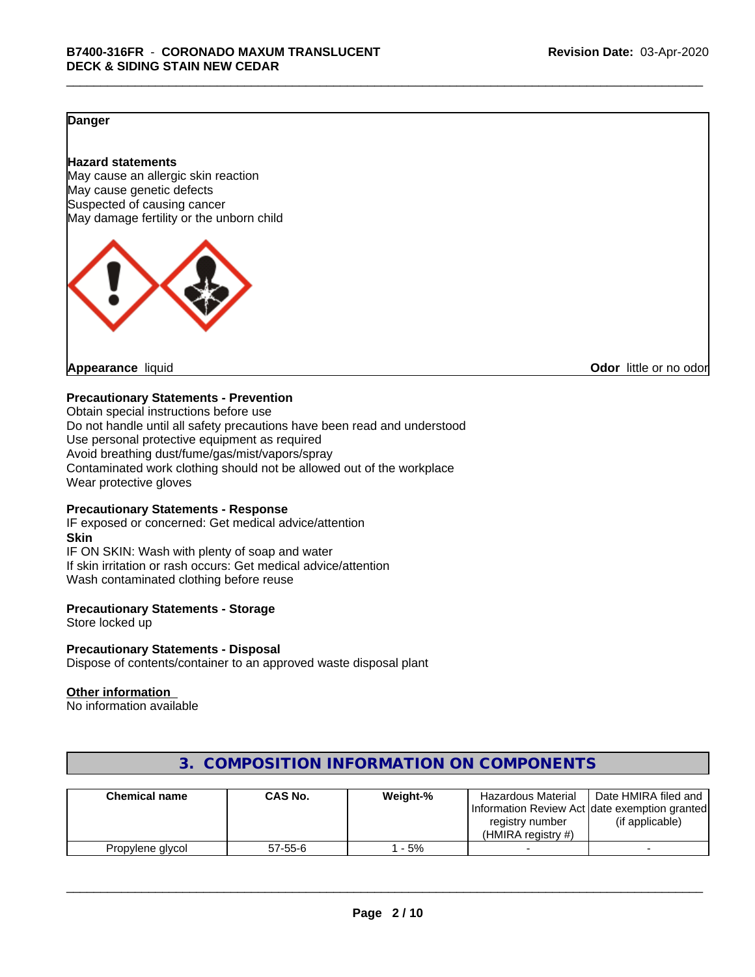#### **Danger**

#### **Hazard statements**

May cause an allergic skin reaction May cause genetic defects Suspected of causing cancer May damage fertility or the unborn child



**Appearance** liquid **CODO** *Appearance liquid* **Odor** *CODO CODO* **<b>***CODO CODO CODO CODO CODO* 

#### **Precautionary Statements - Prevention**

Obtain special instructions before use Do not handle until all safety precautions have been read and understood Use personal protective equipment as required Avoid breathing dust/fume/gas/mist/vapors/spray Contaminated work clothing should not be allowed out of the workplace Wear protective gloves

#### **Precautionary Statements - Response**

IF exposed or concerned: Get medical advice/attention **Skin** IF ON SKIN: Wash with plenty of soap and water If skin irritation or rash occurs: Get medical advice/attention Wash contaminated clothing before reuse

#### **Precautionary Statements - Storage**

Store locked up

#### **Precautionary Statements - Disposal**

Dispose of contents/container to an approved waste disposal plant

#### **Other information**

No information available

| <b>Chemical name</b> | CAS No.       | Weight-% | <b>Hazardous Material</b><br>registry number<br>(HMIRA reaistry #) | Date HMIRA filed and<br>Information Review Act Idate exemption granted<br>(if applicable) |
|----------------------|---------------|----------|--------------------------------------------------------------------|-------------------------------------------------------------------------------------------|
| Propylene glycol     | $57 - 55 - 6$ | - 5%     |                                                                    |                                                                                           |

### **3. COMPOSITION INFORMATION ON COMPONENTS**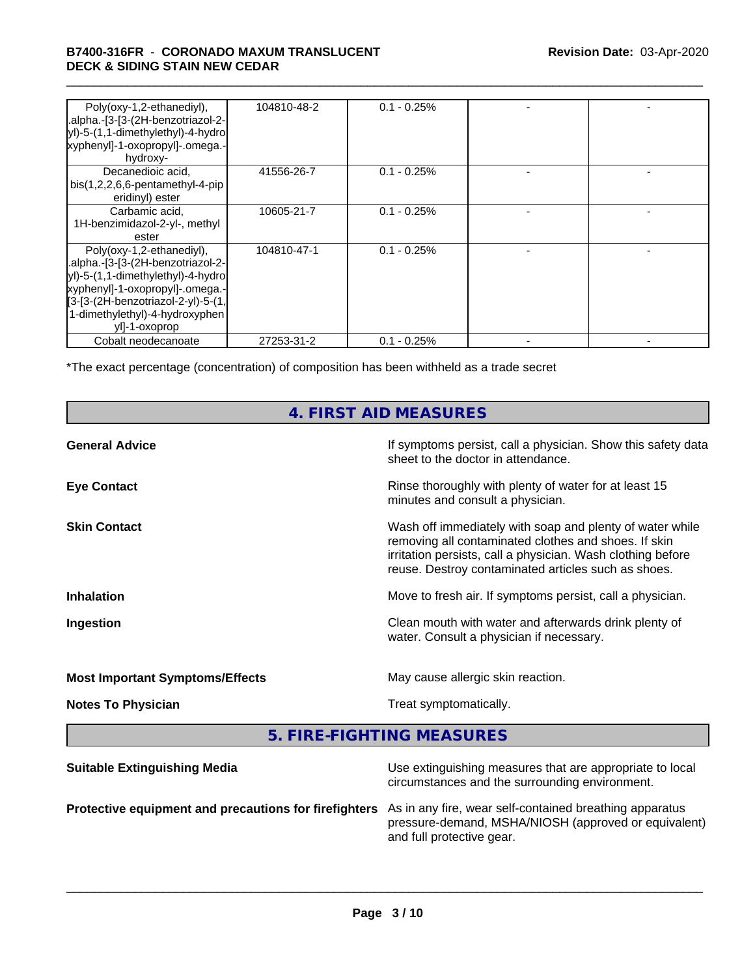#### \_\_\_\_\_\_\_\_\_\_\_\_\_\_\_\_\_\_\_\_\_\_\_\_\_\_\_\_\_\_\_\_\_\_\_\_\_\_\_\_\_\_\_\_\_\_\_\_\_\_\_\_\_\_\_\_\_\_\_\_\_\_\_\_\_\_\_\_\_\_\_\_\_\_\_\_\_\_\_\_\_\_\_\_\_\_\_\_\_\_\_\_\_ **B7400-316FR** - **CORONADO MAXUM TRANSLUCENT DECK & SIDING STAIN NEW CEDAR**

| Poly(oxy-1,2-ethanediyl),<br>.alpha.-[3-[3-(2H-benzotriazol-2-<br>yl)-5-(1,1-dimethylethyl)-4-hydro<br>xyphenyl]-1-oxopropyl]-.omega.-<br>hydroxy-                                                                                | 104810-48-2 | $0.1 - 0.25%$  |  |
|-----------------------------------------------------------------------------------------------------------------------------------------------------------------------------------------------------------------------------------|-------------|----------------|--|
| Decanedioic acid,<br>$bis(1,2,2,6,6-pentamentlyl-4-pip)$<br>eridinyl) ester                                                                                                                                                       | 41556-26-7  | $0.1 - 0.25%$  |  |
| Carbamic acid,<br>1H-benzimidazol-2-yl-, methyl<br>ester                                                                                                                                                                          | 10605-21-7  | $0.1 - 0.25\%$ |  |
| Poly(oxy-1,2-ethanediyl),<br>.alpha.-[3-[3-(2H-benzotriazol-2-<br>yl)-5-(1,1-dimethylethyl)-4-hydrol<br> xyphenyl]-1-oxopropyl]-.omega.-<br>[3-[3-(2H-benzotriazol-2-yl)-5-(1,<br>1-dimethylethyl)-4-hydroxyphen<br>yll-1-oxoprop | 104810-47-1 | $0.1 - 0.25%$  |  |
| Cobalt neodecanoate                                                                                                                                                                                                               | 27253-31-2  | $0.1 - 0.25%$  |  |

\*The exact percentage (concentration) of composition has been withheld as a trade secret

# **4. FIRST AID MEASURES**

| <b>General Advice</b>                  | If symptoms persist, call a physician. Show this safety data<br>sheet to the doctor in attendance.                                                                                                                                     |
|----------------------------------------|----------------------------------------------------------------------------------------------------------------------------------------------------------------------------------------------------------------------------------------|
| <b>Eye Contact</b>                     | Rinse thoroughly with plenty of water for at least 15<br>minutes and consult a physician.                                                                                                                                              |
| <b>Skin Contact</b>                    | Wash off immediately with soap and plenty of water while<br>removing all contaminated clothes and shoes. If skin<br>irritation persists, call a physician. Wash clothing before<br>reuse. Destroy contaminated articles such as shoes. |
| <b>Inhalation</b>                      | Move to fresh air. If symptoms persist, call a physician.                                                                                                                                                                              |
| Ingestion                              | Clean mouth with water and afterwards drink plenty of<br>water. Consult a physician if necessary.                                                                                                                                      |
| <b>Most Important Symptoms/Effects</b> | May cause allergic skin reaction.                                                                                                                                                                                                      |
| <b>Notes To Physician</b>              | Treat symptomatically.                                                                                                                                                                                                                 |
|                                        |                                                                                                                                                                                                                                        |

**5. FIRE-FIGHTING MEASURES**

| <b>Suitable Extinguishing Media</b>                   | Use extinguishing measures that are appropriate to local<br>circumstances and the surrounding environment.                                   |
|-------------------------------------------------------|----------------------------------------------------------------------------------------------------------------------------------------------|
| Protective equipment and precautions for firefighters | As in any fire, wear self-contained breathing apparatus<br>pressure-demand, MSHA/NIOSH (approved or equivalent)<br>and full protective gear. |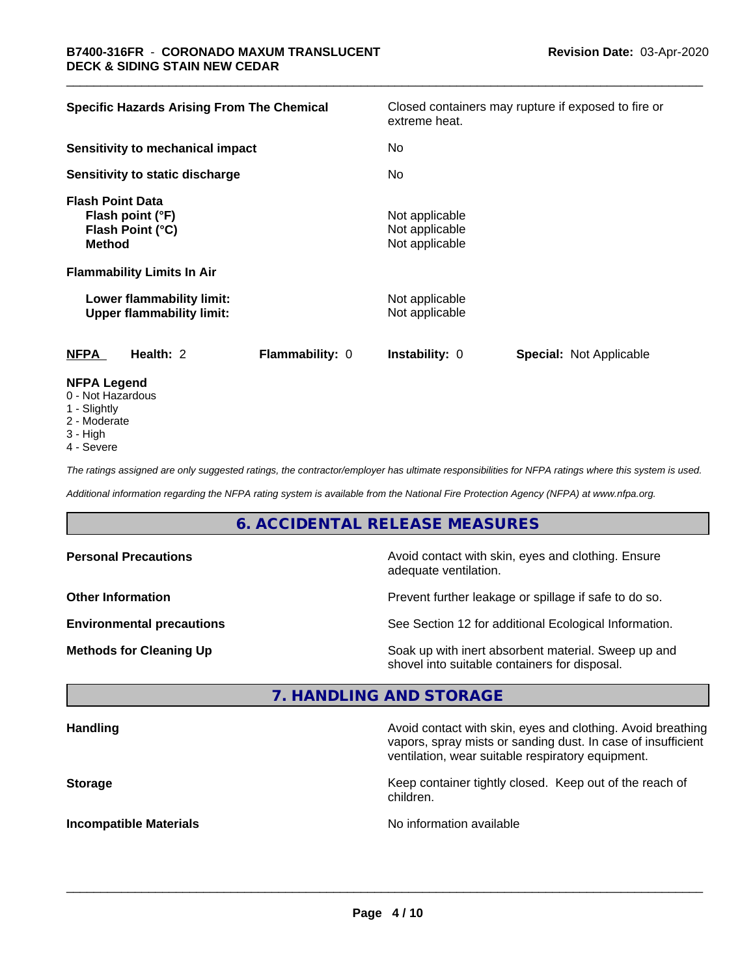| <b>Specific Hazards Arising From The Chemical</b>                                | Closed containers may rupture if exposed to fire or<br>extreme heat. |
|----------------------------------------------------------------------------------|----------------------------------------------------------------------|
| Sensitivity to mechanical impact                                                 | No                                                                   |
| Sensitivity to static discharge                                                  | No                                                                   |
| <b>Flash Point Data</b><br>Flash point (°F)<br>Flash Point (°C)<br><b>Method</b> | Not applicable<br>Not applicable<br>Not applicable                   |
| <b>Flammability Limits In Air</b>                                                |                                                                      |
| Lower flammability limit:<br><b>Upper flammability limit:</b>                    | Not applicable<br>Not applicable                                     |
| <b>NFPA</b><br>Health: 2<br>Flammability: 0                                      | <b>Instability: 0</b><br><b>Special: Not Applicable</b>              |
| <b>NFPA Legend</b><br>0 - Not Hazardous                                          |                                                                      |

- 
- 1 Slightly
- 2 Moderate
- 3 High
- 4 Severe

*The ratings assigned are only suggested ratings, the contractor/employer has ultimate responsibilities for NFPA ratings where this system is used.*

*Additional information regarding the NFPA rating system is available from the National Fire Protection Agency (NFPA) at www.nfpa.org.*

## **6. ACCIDENTAL RELEASE MEASURES**

| <b>Personal Precautions</b>      | Avoid contact with skin, eyes and clothing. Ensure<br>adequate ventilation.                          |
|----------------------------------|------------------------------------------------------------------------------------------------------|
| <b>Other Information</b>         | Prevent further leakage or spillage if safe to do so.                                                |
| <b>Environmental precautions</b> | See Section 12 for additional Ecological Information.                                                |
| <b>Methods for Cleaning Up</b>   | Soak up with inert absorbent material. Sweep up and<br>shovel into suitable containers for disposal. |

#### **7. HANDLING AND STORAGE**

| <b>Handling</b>               | Avoid contact with skin, eyes and clothing. Avoid breathing<br>vapors, spray mists or sanding dust. In case of insufficient<br>ventilation, wear suitable respiratory equipment. |
|-------------------------------|----------------------------------------------------------------------------------------------------------------------------------------------------------------------------------|
| <b>Storage</b>                | Keep container tightly closed. Keep out of the reach of<br>children.                                                                                                             |
| <b>Incompatible Materials</b> | No information available                                                                                                                                                         |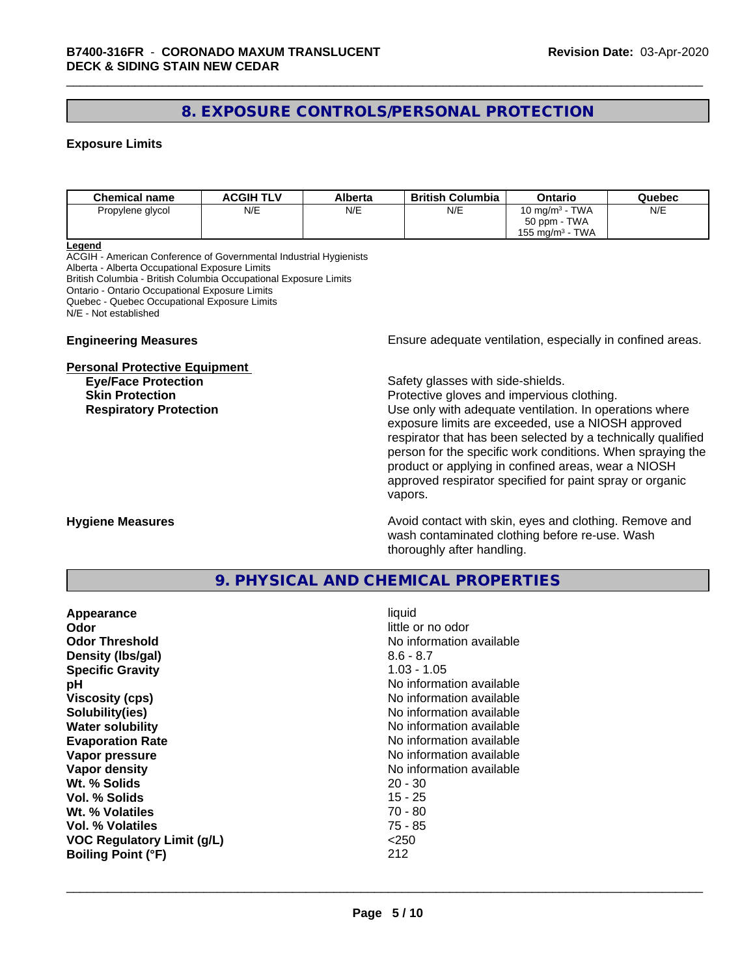## **8. EXPOSURE CONTROLS/PERSONAL PROTECTION**

#### **Exposure Limits**

| <b>Chemical name</b> | <b>ACGIH TLV</b> | Alberta | <b>British Columbia</b> | Ontario                        | Quebec |
|----------------------|------------------|---------|-------------------------|--------------------------------|--------|
| Propylene glycol     | N/E              | N/E     | N/E                     | 10 mg/m $3$ - TWA              | N/E    |
|                      |                  |         |                         | 50 ppm - TWA                   |        |
|                      |                  |         |                         | TWA<br>155 mg/m <sup>3</sup> - |        |

#### **Legend**

ACGIH - American Conference of Governmental Industrial Hygienists Alberta - Alberta Occupational Exposure Limits British Columbia - British Columbia Occupational Exposure Limits Ontario - Ontario Occupational Exposure Limits Quebec - Quebec Occupational Exposure Limits N/E - Not established

#### **Personal Protective Equipment**

**Engineering Measures Ensure** Ensure adequate ventilation, especially in confined areas.

**Eye/Face Protection Safety glasses with side-shields.** 

**Skin Protection Protection Protective gloves and impervious clothing. Respiratory Protection Exercise 2018** Use only with adequate ventilation. In operations where exposure limits are exceeded, use a NIOSH approved respirator that has been selected by a technically qualified person for the specific work conditions. When spraying the product or applying in confined areas, wear a NIOSH approved respirator specified for paint spray or organic vapors.

**Hygiene Measures Avoid contact with skin, eyes and clothing. Remove and Avoid contact with skin, eyes and clothing. Remove and Avoid contact with skin, eyes and clothing. Remove and** wash contaminated clothing before re-use. Wash thoroughly after handling.

#### **9. PHYSICAL AND CHEMICAL PROPERTIES**

| Appearance                        | liquid                   |
|-----------------------------------|--------------------------|
| Odor                              | little or no odor        |
| <b>Odor Threshold</b>             | No information available |
| Density (Ibs/gal)                 | $8.6 - 8.7$              |
| <b>Specific Gravity</b>           | $1.03 - 1.05$            |
| рH                                | No information available |
| <b>Viscosity (cps)</b>            | No information available |
| Solubility(ies)                   | No information available |
| <b>Water solubility</b>           | No information available |
| <b>Evaporation Rate</b>           | No information available |
| Vapor pressure                    | No information available |
| Vapor density                     | No information available |
| Wt. % Solids                      | $20 - 30$                |
| Vol. % Solids                     | $15 - 25$                |
| Wt. % Volatiles                   | $70 - 80$                |
| Vol. % Volatiles                  | 75 - 85                  |
| <b>VOC Regulatory Limit (g/L)</b> | $<$ 250                  |
| <b>Boiling Point (°F)</b>         | 212                      |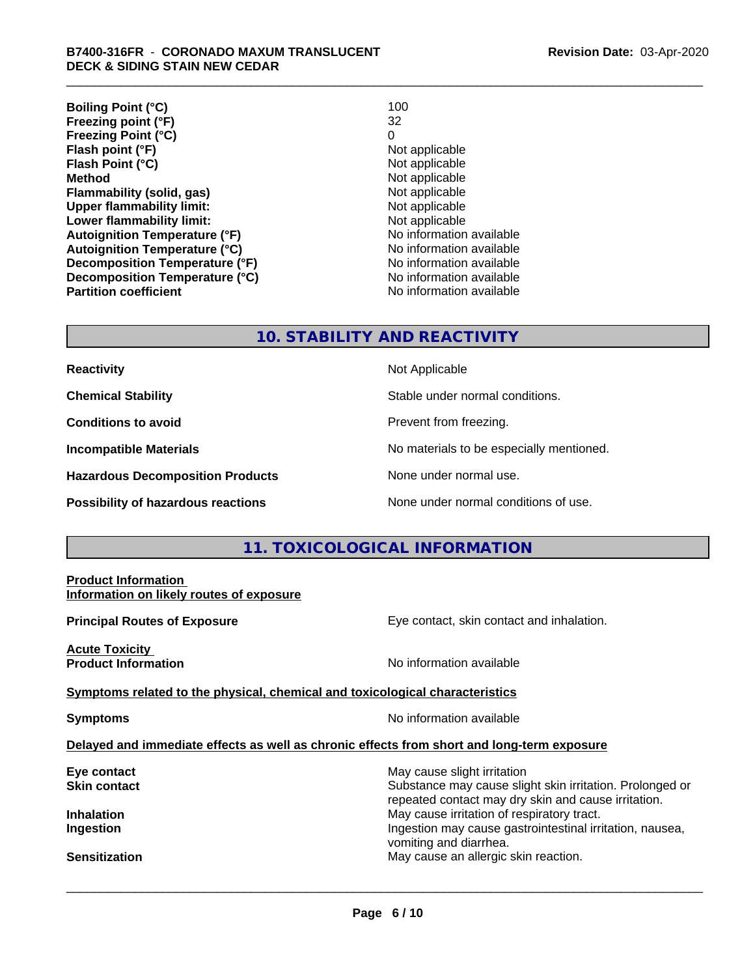**Boiling Point (°C)** 100<br> **Preezing point (°F)** 22 **Freezing point (°F) Freezing Point (°C)** 0 **Flash point (°F)**<br> **Flash Point (°C)**<br> **Flash Point (°C)**<br> **C Flash Point (°C)**<br>Method **Flammability (solid, gas)**<br> **Commability limit:**<br>
Upper flammability limit:<br>
Not applicable **Upper flammability limit:**<br> **Lower flammability limit:**<br>
Not applicable<br>
Not applicable **Lower flammability limit: Autoignition Temperature (°F)** No information available **Autoignition Temperature (°C)** No information available **Decomposition Temperature (°F)** No information available **Decomposition Temperature (°C)**<br> **Partition coefficient**<br> **Partition coefficient**<br> **No** information available **Partition coefficient** 

**Not applicable** 

#### **10. STABILITY AND REACTIVITY**

| <b>Reactivity</b> |  |
|-------------------|--|
|                   |  |

**Hazardous Decomposition Products** None under normal use.

**Not Applicable** 

**Chemical Stability** Stable under normal conditions.

**Conditions to avoid Prevent from freezing.** 

**Incompatible Materials No materials** No materials to be especially mentioned.

**Possibility of hazardous reactions** None under normal conditions of use.

#### **11. TOXICOLOGICAL INFORMATION**

| <b>Product Information</b><br>Information on likely routes of exposure                     |                                                                                                                                                                                         |
|--------------------------------------------------------------------------------------------|-----------------------------------------------------------------------------------------------------------------------------------------------------------------------------------------|
| <b>Principal Routes of Exposure</b>                                                        | Eye contact, skin contact and inhalation.                                                                                                                                               |
| <b>Acute Toxicity</b><br><b>Product Information</b>                                        | No information available                                                                                                                                                                |
| Symptoms related to the physical, chemical and toxicological characteristics               |                                                                                                                                                                                         |
| <b>Symptoms</b>                                                                            | No information available                                                                                                                                                                |
| Delayed and immediate effects as well as chronic effects from short and long-term exposure |                                                                                                                                                                                         |
| Eye contact<br><b>Skin contact</b>                                                         | May cause slight irritation<br>Substance may cause slight skin irritation. Prolonged or                                                                                                 |
| <b>Inhalation</b><br>Ingestion                                                             | repeated contact may dry skin and cause irritation.<br>May cause irritation of respiratory tract.<br>Ingestion may cause gastrointestinal irritation, nausea,<br>vomiting and diarrhea. |
| <b>Sensitization</b>                                                                       | May cause an allergic skin reaction.                                                                                                                                                    |
|                                                                                            |                                                                                                                                                                                         |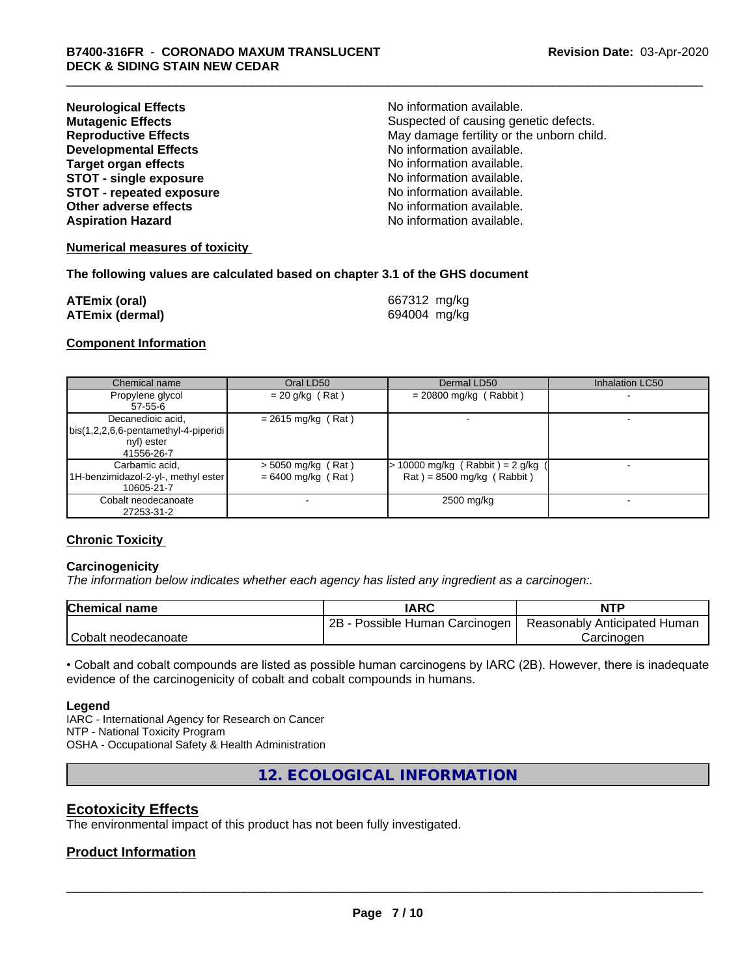| <b>Neurological Effects</b>     | No information available.                 |
|---------------------------------|-------------------------------------------|
| <b>Mutagenic Effects</b>        | Suspected of causing genetic defects.     |
| <b>Reproductive Effects</b>     | May damage fertility or the unborn child. |
| <b>Developmental Effects</b>    | No information available.                 |
| <b>Target organ effects</b>     | No information available.                 |
| <b>STOT - single exposure</b>   | No information available.                 |
| <b>STOT - repeated exposure</b> | No information available.                 |
| Other adverse effects           | No information available.                 |
| <b>Aspiration Hazard</b>        | No information available.                 |

#### **Numerical measures of toxicity**

#### **The following values are calculated based on chapter 3.1 of the GHS document**

| <b>ATEmix (oral)</b>   | 667312 mg/kg |
|------------------------|--------------|
| <b>ATEmix (dermal)</b> | 694004 mg/kg |

#### **Component Information**

| Chemical name                        | Oral LD50            | Dermal LD50                     | <b>Inhalation LC50</b> |
|--------------------------------------|----------------------|---------------------------------|------------------------|
| Propylene glycol                     | $= 20$ g/kg (Rat)    | $= 20800$ mg/kg (Rabbit)        |                        |
| $57 - 55 - 6$                        |                      |                                 |                        |
| Decanedioic acid,                    | $= 2615$ mg/kg (Rat) |                                 |                        |
| bis(1,2,2,6,6-pentamethyl-4-piperidi |                      |                                 |                        |
| nyl) ester                           |                      |                                 |                        |
| 41556-26-7                           |                      |                                 |                        |
| Carbamic acid,                       | $>$ 5050 mg/kg (Rat) | > 10000 mg/kg (Rabbit) = 2 g/kg |                        |
| 1H-benzimidazol-2-yl-, methyl ester  | $= 6400$ mg/kg (Rat) | $Rat$ = 8500 mg/kg (Rabbit)     |                        |
| 10605-21-7                           |                      |                                 |                        |
| Cobalt neodecanoate                  |                      | 2500 mg/kg                      |                        |
| 27253-31-2                           |                      |                                 |                        |

#### **Chronic Toxicity**

#### **Carcinogenicity**

*The information below indicateswhether each agency has listed any ingredient as a carcinogen:.*

| Chemical<br>name    | <b>IARC</b>                     | <b>NTP</b>                   |
|---------------------|---------------------------------|------------------------------|
|                     | 2B<br>Possible Human Carcinogen | Reasonably Anticipated Human |
| Cobalt neodecanoate |                                 | Carcinoder                   |

• Cobalt and cobalt compounds are listed as possible human carcinogens by IARC (2B). However, there is inadequate evidence of the carcinogenicity of cobalt and cobalt compounds in humans.

#### **Legend**

IARC - International Agency for Research on Cancer NTP - National Toxicity Program OSHA - Occupational Safety & Health Administration

**12. ECOLOGICAL INFORMATION**

#### **Ecotoxicity Effects**

The environmental impact of this product has not been fully investigated.

#### **Product Information**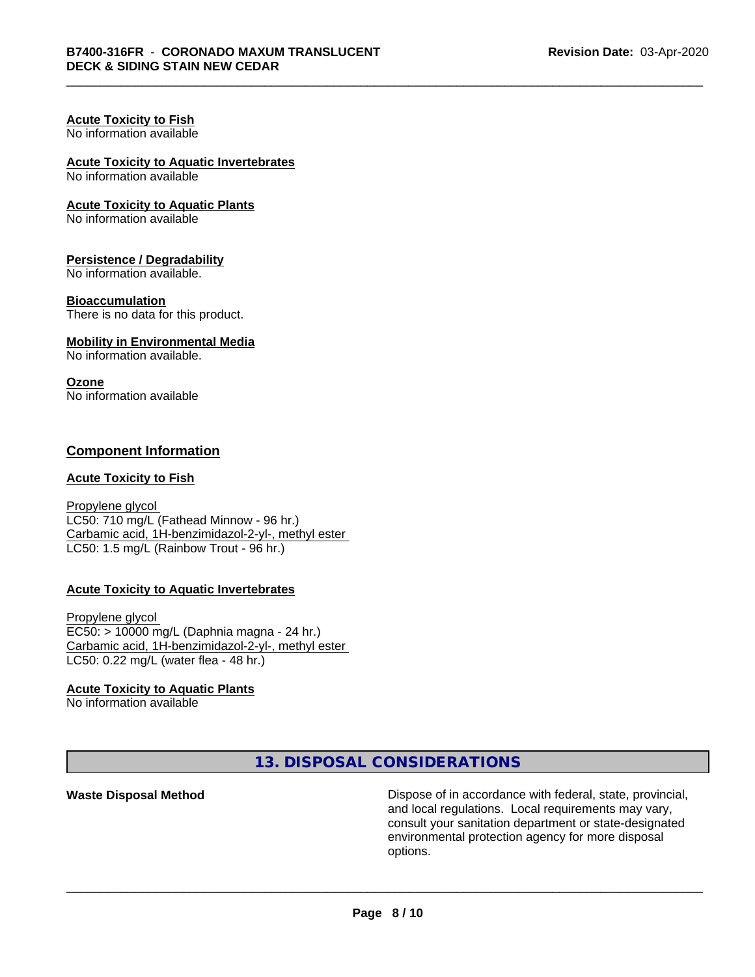#### **Acute Toxicity to Fish** No information available

# **Acute Toxicity to Aquatic Invertebrates**

No information available

#### **Acute Toxicity to Aquatic Plants**

No information available

#### **Persistence / Degradability**

No information available.

#### **Bioaccumulation**

There is no data for this product.

#### **Mobility in Environmental Media**

No information available.

#### **Ozone**

No information available

#### **Component Information**

#### **Acute Toxicity to Fish**

Propylene glycol LC50: 710 mg/L (Fathead Minnow - 96 hr.) Carbamic acid, 1H-benzimidazol-2-yl-, methyl ester LC50: 1.5 mg/L (Rainbow Trout - 96 hr.)

#### **Acute Toxicity to Aquatic Invertebrates**

Propylene glycol EC50: > 10000 mg/L (Daphnia magna - 24 hr.) Carbamic acid, 1H-benzimidazol-2-yl-, methyl ester LC50: 0.22 mg/L (water flea - 48 hr.)

#### **Acute Toxicity to Aquatic Plants**

No information available

**13. DISPOSAL CONSIDERATIONS**

**Waste Disposal Method Dispose of in accordance with federal, state, provincial,** and local regulations. Local requirements may vary, consult your sanitation department or state-designated environmental protection agency for more disposal options.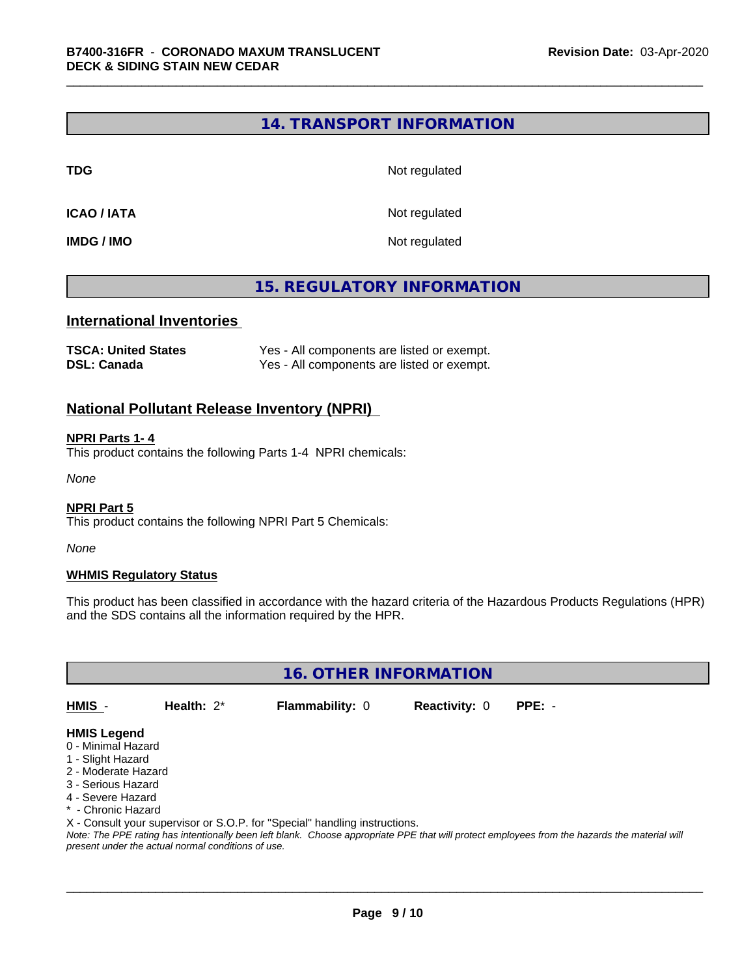#### **14. TRANSPORT INFORMATION**

**TDG** Not regulated

**ICAO / IATA** Not regulated

**IMDG / IMO** Not regulated

## **15. REGULATORY INFORMATION**

#### **International Inventories**

| <b>TSCA: United States</b> | Yes - All components are listed or exempt. |
|----------------------------|--------------------------------------------|
| <b>DSL: Canada</b>         | Yes - All components are listed or exempt. |

#### **National Pollutant Release Inventory (NPRI)**

#### **NPRI Parts 1- 4**

This product contains the following Parts 1-4 NPRI chemicals:

*None*

#### **NPRI Part 5**

This product contains the following NPRI Part 5 Chemicals:

*None*

#### **WHMIS Regulatory Status**

This product has been classified in accordance with the hazard criteria of the Hazardous Products Regulations (HPR) and the SDS contains all the information required by the HPR.

**16. OTHER INFORMATION**

**HMIS** - **Health:** 2\* **Flammability:** 0 **Reactivity:** 0 **PPE:** -

#### **HMIS Legend**

- 0 Minimal Hazard
- 1 Slight Hazard
- 2 Moderate Hazard
- 3 Serious Hazard
- 4 Severe Hazard
- \* Chronic Hazard
- X Consult your supervisor or S.O.P. for "Special" handling instructions.

*Note: The PPE rating has intentionally been left blank. Choose appropriate PPE that will protect employees from the hazards the material will present under the actual normal conditions of use.*